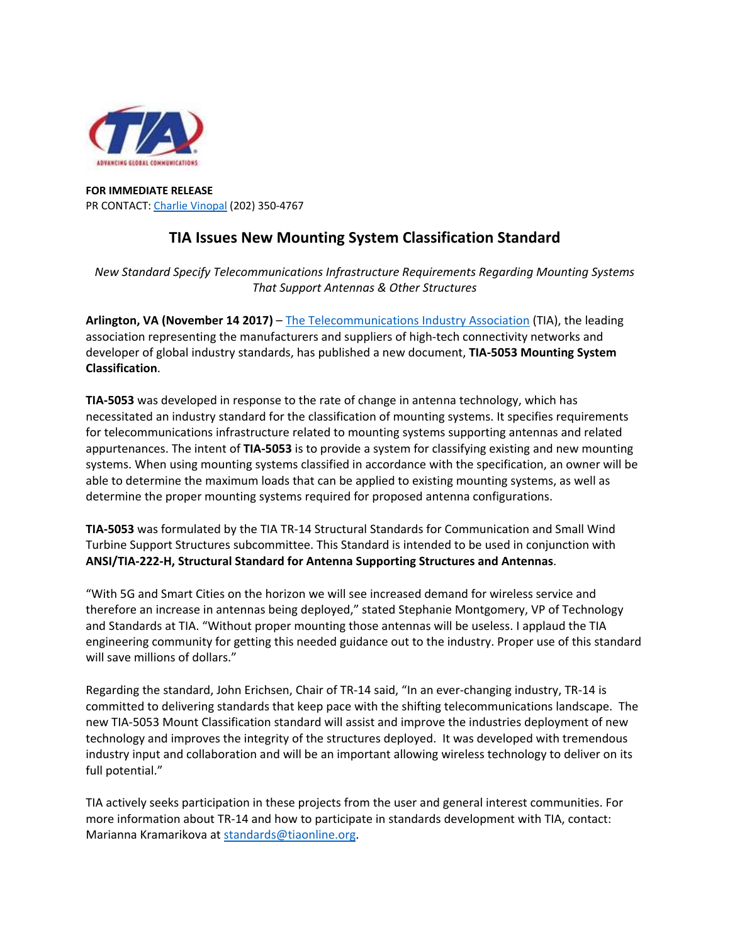

## **FOR IMMEDIATE RELEASE**  PR CONTACT: Charlie Vinopal (202) 350‐4767

## **TIA Issues New Mounting System Classification Standard**

*New Standard Specify Telecommunications Infrastructure Requirements Regarding Mounting Systems That Support Antennas & Other Structures*

**Arlington, VA (November 14 2017)** – The Telecommunications Industry Association (TIA), the leading association representing the manufacturers and suppliers of high‐tech connectivity networks and developer of global industry standards, has published a new document, **TIA‐5053 Mounting System Classification**.

**TIA‐5053** was developed in response to the rate of change in antenna technology, which has necessitated an industry standard for the classification of mounting systems. It specifies requirements for telecommunications infrastructure related to mounting systems supporting antennas and related appurtenances. The intent of **TIA‐5053** is to provide a system for classifying existing and new mounting systems. When using mounting systems classified in accordance with the specification, an owner will be able to determine the maximum loads that can be applied to existing mounting systems, as well as determine the proper mounting systems required for proposed antenna configurations.

**TIA‐5053** was formulated by the TIA TR‐14 Structural Standards for Communication and Small Wind Turbine Support Structures subcommittee. This Standard is intended to be used in conjunction with **ANSI/TIA‐222‐H, Structural Standard for Antenna Supporting Structures and Antennas**.

"With 5G and Smart Cities on the horizon we will see increased demand for wireless service and therefore an increase in antennas being deployed," stated Stephanie Montgomery, VP of Technology and Standards at TIA. "Without proper mounting those antennas will be useless. I applaud the TIA engineering community for getting this needed guidance out to the industry. Proper use of this standard will save millions of dollars."

Regarding the standard, John Erichsen, Chair of TR‐14 said, "In an ever‐changing industry, TR‐14 is committed to delivering standards that keep pace with the shifting telecommunications landscape. The new TIA‐5053 Mount Classification standard will assist and improve the industries deployment of new technology and improves the integrity of the structures deployed. It was developed with tremendous industry input and collaboration and will be an important allowing wireless technology to deliver on its full potential."

TIA actively seeks participation in these projects from the user and general interest communities. For more information about TR‐14 and how to participate in standards development with TIA, contact: Marianna Kramarikova at standards@tiaonline.org.